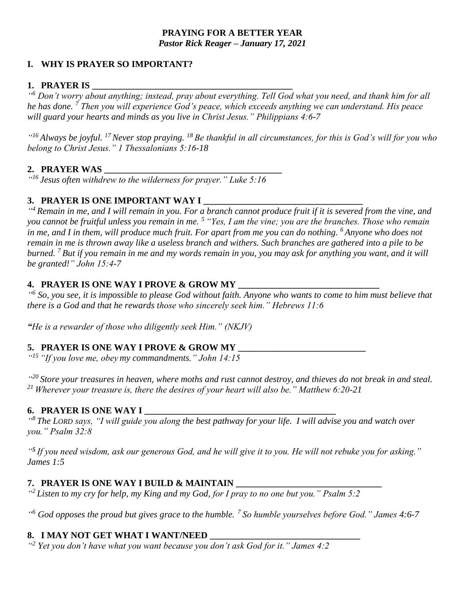### **PRAYING FOR A BETTER YEAR** *Pastor Rick Reager – January 17, 2021*

## **I. WHY IS PRAYER SO IMPORTANT?**

### **1. PRAYER IS \_\_\_\_\_\_\_\_\_\_\_\_\_\_\_\_\_\_\_\_\_\_\_\_\_\_\_\_\_\_\_\_\_\_\_\_\_\_\_\_\_\_\_\_**

*" <sup>6</sup> Don't worry about anything; instead, pray about everything. Tell God what you need, and thank him for all he has done. <sup>7</sup> Then you will experience God's peace, which exceeds anything we can understand. His peace will guard your hearts and minds as you live in Christ Jesus." Philippians 4:6-7*

*" <sup>16</sup> Always be joyful. <sup>17</sup>Never stop praying. <sup>18</sup> Be thankful in all circumstances, for this is God's will for you who belong to Christ Jesus." 1 Thessalonians 5:16-18*

## **2. PRAYER WAS \_\_\_\_\_\_\_\_\_\_\_\_\_\_\_\_\_\_\_\_\_\_\_\_\_\_\_\_\_\_\_\_\_\_\_\_\_\_\_**

*" <sup>16</sup>Jesus often withdrew to the wilderness for prayer." Luke 5:16*

## 3. PRAYER IS ONE IMPORTANT WAY I

*" <sup>4</sup> Remain in me, and I will remain in you. For a branch cannot produce fruit if it is severed from the vine, and you cannot be fruitful unless you remain in me. <sup>5</sup> "Yes, I am the vine; you are the branches. Those who remain in me, and I in them, will produce much fruit. For apart from me you can do nothing. <sup>6</sup> Anyone who does not remain in me is thrown away like a useless branch and withers. Such branches are gathered into a pile to be burned. <sup>7</sup> But if you remain in me and my words remain in you, you may ask for anything you want, and it will be granted!" John 15:4-7*

## **4. PRAYER IS ONE WAY I PROVE & GROW MY\_**

<sup>"6</sup> So, you see, it is impossible to please God without faith. Anyone who wants to come to him must believe that *there is a God and that he rewards those who sincerely seek him." Hebrews 11:6*

*"He is a rewarder of those who diligently seek Him." (NKJV)*

## 5. **PRAYER IS ONE WAY I PROVE & GROW MY**

*" <sup>15</sup> "If you love me, obey my commandments." John 14:15*

*" <sup>20</sup> Store your treasures in heaven, where moths and rust cannot destroy, and thieves do not break in and steal. <sup>21</sup> Wherever your treasure is, there the desires of your heart will also be." Matthew 6:20-21*

## **6. PRAYER IS ONE WAY I**

*" <sup>8</sup> The LORD says, "I will guide you along the best pathway for your life. I will advise you and watch over you." Psalm 32:8*

*" 5 If you need wisdom, ask our generous God, and he will give it to you. He will not rebuke you for asking." James 1:5*

## **7. PRAYER IS ONE WAY I BUILD & MAINTAIN \_\_\_\_\_\_\_\_\_\_\_\_\_\_\_\_\_\_\_\_\_\_\_\_\_\_\_\_\_\_\_\_**

*" <sup>2</sup> Listen to my cry for help, my King and my God, for I pray to no one but you." Psalm 5:2*

*" <sup>6</sup> God opposes the proud but gives grace to the humble.<sup>7</sup> So humble yourselves before God." James 4:6-7*

## **8. I MAY NOT GET WHAT I WANT/NEED \_\_\_\_\_\_\_\_\_\_\_\_\_\_\_\_\_\_\_\_\_\_\_\_\_\_\_\_\_\_\_\_\_**

*" <sup>2</sup> Yet you don't have what you want because you don't ask God for it." James 4:2*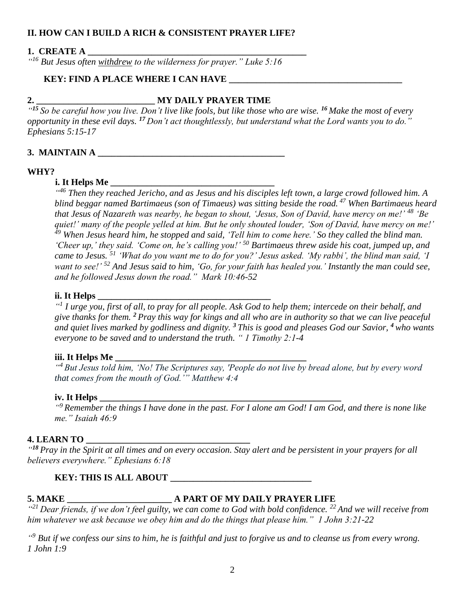## **II. HOW CAN I BUILD A RICH & CONSISTENT PRAYER LIFE?**

#### **1. CREATE A \_\_\_\_\_\_\_\_\_\_\_\_\_\_\_\_\_\_\_\_\_\_\_\_\_\_\_\_\_\_\_\_\_\_\_\_\_\_\_\_\_\_\_\_\_\_\_\_**

*" <sup>16</sup> But Jesus often withdrew to the wilderness for prayer." Luke 5:16*

#### **KEY: FIND A PLACE WHERE I CAN HAVE**

## **2. \_\_\_\_\_\_\_\_\_\_\_\_\_\_\_\_\_\_\_\_\_\_\_\_\_\_ MY DAILY PRAYER TIME**

*" <sup>15</sup> So be careful how you live. Don't live like fools, but like those who are wise. <sup>16</sup> Make the most of every opportunity in these evil days. <sup>17</sup> Don't act thoughtlessly, but understand what the Lord wants you to do." Ephesians 5:15-17*

## **3. MAINTAIN A**

#### **WHY?**

#### **i. It Helps Me**

*" <sup>46</sup> Then they reached Jericho, and as Jesus and his disciples left town, a large crowd followed him. A blind beggar named Bartimaeus (son of Timaeus) was sitting beside the road. <sup>47</sup> When Bartimaeus heard that Jesus of Nazareth was nearby, he began to shout, 'Jesus, Son of David, have mercy on me!' <sup>48</sup> 'Be quiet!' many of the people yelled at him. But he only shouted louder, 'Son of David, have mercy on me!' <sup>49</sup> When Jesus heard him, he stopped and said, 'Tell him to come here.' So they called the blind man. 'Cheer up,' they said. 'Come on, he's calling you!' <sup>50</sup> Bartimaeus threw aside his coat, jumped up, and came to Jesus. <sup>51</sup> 'What do you want me to do for you?' Jesus asked. 'My rabbi', the blind man said, 'I want to see!' <sup>52</sup> And Jesus said to him, 'Go, for your faith has healed you.' Instantly the man could see, and he followed Jesus down the road." Mark 10:46-52* 

#### **ii. It Helps**

*" 1 I urge you, first of all, to pray for all people. Ask God to help them; intercede on their behalf, and give thanks for them. <sup>2</sup> Pray this way for kings and all who are in authority so that we can live peaceful and quiet lives marked by godliness and dignity. <sup>3</sup> This is good and pleases God our Savior, <sup>4</sup> who wants everyone to be saved and to understand the truth. " 1 Timothy 2:1-4*

#### **iii. It Helps Me**

*" <sup>4</sup>But Jesus told him, 'No! The Scriptures say, 'People do not live by bread alone, but by every word that comes from the mouth of God.'" Matthew 4:4*

#### **iv. It Helps \_\_\_\_\_\_\_\_\_\_\_\_\_\_\_\_\_\_\_\_\_\_\_\_\_\_\_\_\_\_\_\_\_\_\_\_\_\_\_\_\_\_\_\_\_\_\_\_\_\_\_\_\_**

*" <sup>9</sup> Remember the things I have done in the past. For I alone am God! I am God, and there is none like me." Isaiah 46:9*

#### **4. LEARN TO \_\_\_\_\_\_\_\_\_\_\_\_\_\_\_\_\_\_\_\_\_\_\_\_\_\_\_\_\_\_\_\_\_\_\_\_**

*" <sup>18</sup> Pray in the Spirit at all times and on every occasion. Stay alert and be persistent in your prayers for all believers everywhere." Ephesians 6:18*

#### **KEY: THIS IS ALL ABOUT \_\_\_\_\_\_\_\_\_\_\_\_\_\_\_\_\_\_\_\_\_\_\_\_\_\_\_\_\_\_\_**

# **5. MAKE \_\_\_\_\_\_\_\_\_\_\_\_\_\_\_\_\_\_\_\_\_\_\_ A PART OF MY DAILY PRAYER LIFE**

*" <sup>21</sup> Dear friends, if we don't feel guilty, we can come to God with bold confidence. <sup>22</sup> And we will receive from him whatever we ask because we obey him and do the things that please him." 1 John 3:21-22*

*" <sup>9</sup> But if we confess our sins to him, he is faithful and just to forgive us and to cleanse us from every wrong. 1 John 1:9*